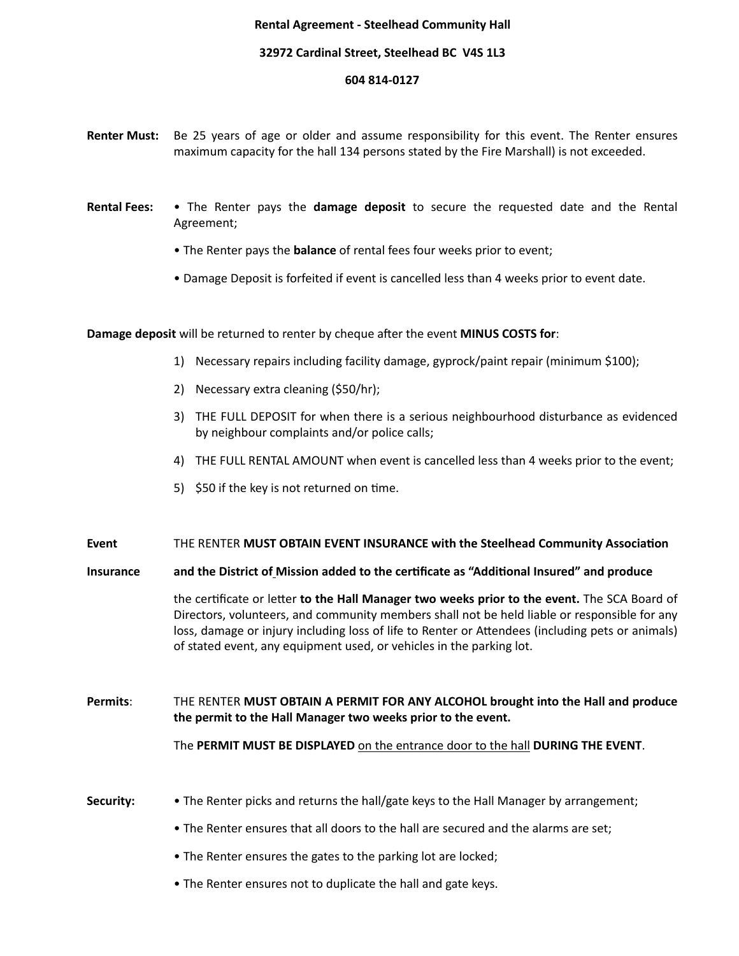## **Rental Agreement - Steelhead Community Hall**

## **32972 Cardinal Street, Steelhead BC V4S 1L3**

## **604 814-0127**

- **Renter Must:** Be 25 years of age or older and assume responsibility for this event. The Renter ensures maximum capacity for the hall 134 persons stated by the Fire Marshall) is not exceeded.
- **Rental Fees:** The Renter pays the **damage deposit** to secure the requested date and the Rental Agreement;
	- The Renter pays the **balance** of rental fees four weeks prior to event;
	- Damage Deposit is forfeited if event is cancelled less than 4 weeks prior to event date.

**Damage deposit** will be returned to renter by cheque after the event **MINUS COSTS for**:

- 1) Necessary repairs including facility damage, gyprock/paint repair (minimum \$100);
- 2) Necessary extra cleaning (\$50/hr);
- 3) THE FULL DEPOSIT for when there is a serious neighbourhood disturbance as evidenced by neighbour complaints and/or police calls;
- 4) THE FULL RENTAL AMOUNT when event is cancelled less than 4 weeks prior to the event;
- 5)  $$50$  if the key is not returned on time.

## **Event** THE RENTER **MUST OBTAIN EVENT INSURANCE** with the Steelhead Community Association

**Insurance** and the District of Mission added to the certificate as "Additional Insured" and produce

the certificate or letter **to the Hall Manager two weeks prior to the event.** The SCA Board of Directors, volunteers, and community members shall not be held liable or responsible for any loss, damage or injury including loss of life to Renter or Attendees (including pets or animals) of stated event, any equipment used, or vehicles in the parking lot.

**Permits:** THE RENTER MUST OBTAIN A PERMIT FOR ANY ALCOHOL brought into the Hall and produce the permit to the Hall Manager two weeks prior to the event.

The **PERMIT MUST BE DISPLAYED** on the entrance door to the hall **DURING THE EVENT**.

- **Security:** The Renter picks and returns the hall/gate keys to the Hall Manager by arrangement;
	- The Renter ensures that all doors to the hall are secured and the alarms are set;
	- The Renter ensures the gates to the parking lot are locked;
	- The Renter ensures not to duplicate the hall and gate keys.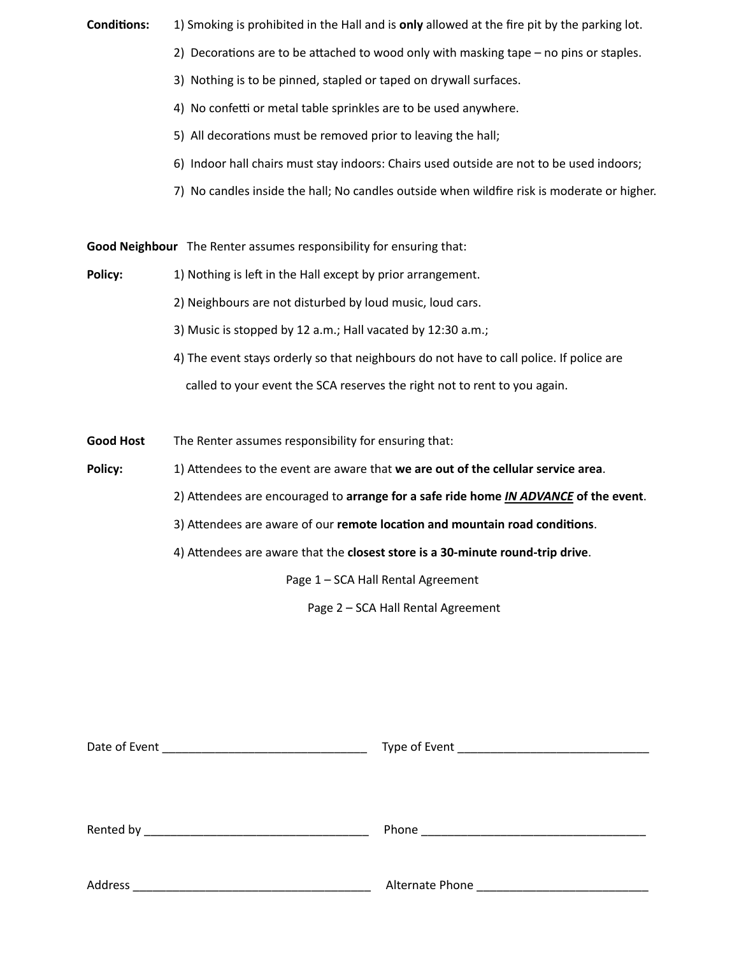**Conditions:** 1) Smoking is prohibited in the Hall and is **only** allowed at the fire pit by the parking lot.

- 2) Decorations are to be attached to wood only with masking tape  $-$  no pins or staples.
- 3) Nothing is to be pinned, stapled or taped on drywall surfaces.
- 4) No confetti or metal table sprinkles are to be used anywhere.
- 5) All decorations must be removed prior to leaving the hall;
- 6) Indoor hall chairs must stay indoors: Chairs used outside are not to be used indoors;
- 7) No candles inside the hall; No candles outside when wildfire risk is moderate or higher.

**Good Neighbour** The Renter assumes responsibility for ensuring that:

- **Policy:** 1) Nothing is left in the Hall except by prior arrangement.
	- 2) Neighbours are not disturbed by loud music, loud cars.
	- 3) Music is stopped by 12 a.m.; Hall vacated by  $12:30$  a.m.;
	- 4) The event stays orderly so that neighbours do not have to call police. If police are called to your event the SCA reserves the right not to rent to you again.
- **Good Host** The Renter assumes responsibility for ensuring that:
- **Policy:** 1) Attendees to the event are aware that we are out of the cellular service area.
	- 2) Attendees are encouraged to arrange for a safe ride home *IN ADVANCE* of the event.
	- 3) Attendees are aware of our remote location and mountain road conditions.
	- 4) Attendees are aware that the **closest store is a 30-minute round-trip drive**.

Page 1 - SCA Hall Rental Agreement

Page 2 - SCA Hall Rental Agreement

| Date of Event<br><u> 1989 - Johann John Stone, mars eta bat eta bat eta bat eta bat eta bat eta bat eta bat eta bat eta bat eta b</u> |  |
|---------------------------------------------------------------------------------------------------------------------------------------|--|
|                                                                                                                                       |  |
|                                                                                                                                       |  |
| Address<br><u> 1980 - Johann John Harry, mars ar breithinn ar breithinn ar breithinn ar breithinn ar breithinn ar breithin</u>        |  |
|                                                                                                                                       |  |